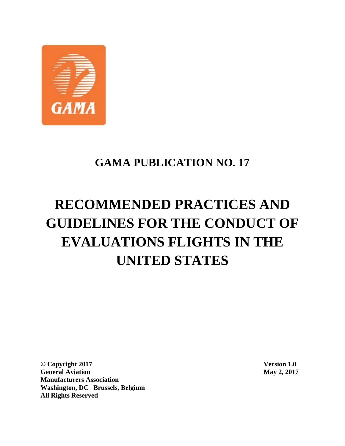

## **GAMA PUBLICATION NO. 17**

# **RECOMMENDED PRACTICES AND GUIDELINES FOR THE CONDUCT OF EVALUATIONS FLIGHTS IN THE UNITED STATES**

**© Copyright 2017 Version 1.0 General Aviation May 2, 2017 Manufacturers Association Washington, DC | Brussels, Belgium All Rights Reserved**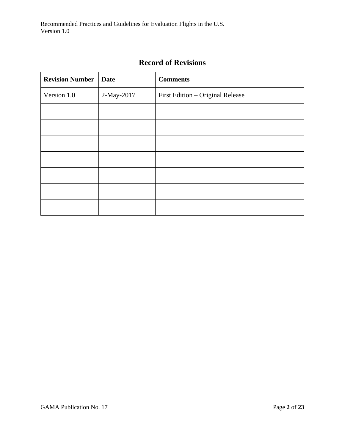| <b>Revision Number</b> | <b>Date</b> | <b>Comments</b>                  |
|------------------------|-------------|----------------------------------|
| Version 1.0            | 2-May-2017  | First Edition - Original Release |
|                        |             |                                  |
|                        |             |                                  |
|                        |             |                                  |
|                        |             |                                  |
|                        |             |                                  |
|                        |             |                                  |
|                        |             |                                  |

## **Record of Revisions**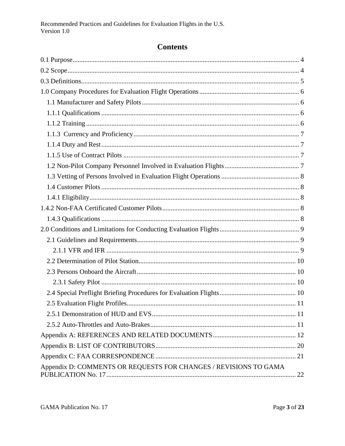## **Contents**

| Appendix D: COMMENTS OR REQUESTS FOR CHANGES / REVISIONS TO GAMA |  |
|------------------------------------------------------------------|--|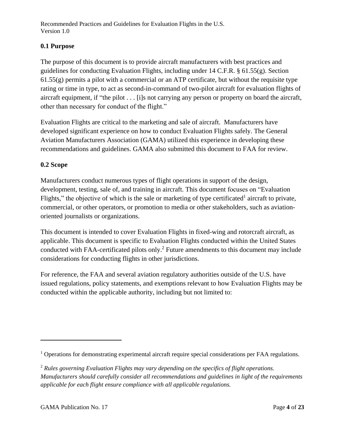#### <span id="page-3-0"></span>**0.1 Purpose**

The purpose of this document is to provide aircraft manufacturers with best practices and guidelines for conducting Evaluation Flights, including under 14 C.F.R. § 61.55(g). Section  $61.55(g)$  permits a pilot with a commercial or an ATP certificate, but without the requisite type rating or time in type, to act as second-in-command of two-pilot aircraft for evaluation flights of aircraft equipment, if "the pilot . . . [i]s not carrying any person or property on board the aircraft, other than necessary for conduct of the flight."

Evaluation Flights are critical to the marketing and sale of aircraft. Manufacturers have developed significant experience on how to conduct Evaluation Flights safely. The General Aviation Manufacturers Association (GAMA) utilized this experience in developing these recommendations and guidelines. GAMA also submitted this document to FAA for review.

#### <span id="page-3-1"></span>**0.2 Scope**

Manufacturers conduct numerous types of flight operations in support of the design, development, testing, sale of, and training in aircraft. This document focuses on "Evaluation Flights," the objective of which is the sale or marketing of type certificated<sup>1</sup> aircraft to private, commercial, or other operators, or promotion to media or other stakeholders, such as aviationoriented journalists or organizations.

This document is intended to cover Evaluation Flights in fixed-wing and rotorcraft aircraft, as applicable. This document is specific to Evaluation Flights conducted within the United States conducted with FAA-certificated pilots only.<sup>2</sup> Future amendments to this document may include considerations for conducting flights in other jurisdictions.

For reference, the FAA and several aviation regulatory authorities outside of the U.S. have issued regulations, policy statements, and exemptions relevant to how Evaluation Flights may be conducted within the applicable authority, including but not limited to:

 $\overline{\phantom{a}}$ 

<sup>&</sup>lt;sup>1</sup> Operations for demonstrating experimental aircraft require special considerations per FAA regulations.

<sup>2</sup> *Rules governing Evaluation Flights may vary depending on the specifics of flight operations. Manufacturers should carefully consider all recommendations and guidelines in light of the requirements applicable for each flight ensure compliance with all applicable regulations.*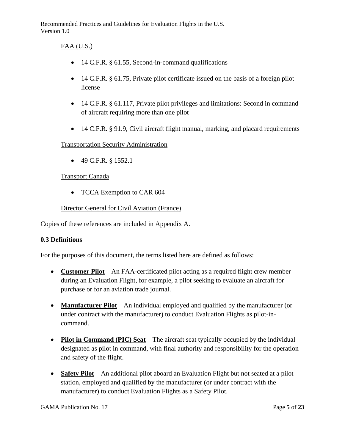#### FAA (U.S.)

- 14 C.F.R. § 61.55, Second-in-command qualifications
- 14 C.F.R. § 61.75, Private pilot certificate issued on the basis of a foreign pilot license
- 14 C.F.R. § 61.117, Private pilot privileges and limitations: Second in command of aircraft requiring more than one pilot
- 14 C.F.R. § 91.9, Civil aircraft flight manual, marking, and placard requirements

#### Transportation Security Administration

• 49 C.F.R. § 1552.1

#### Transport Canada

• TCCA Exemption to CAR 604

#### Director General for Civil Aviation (France)

Copies of these references are included in Appendix A.

#### <span id="page-4-0"></span>**0.3 Definitions**

For the purposes of this document, the terms listed here are defined as follows:

- **Customer Pilot** An FAA-certificated pilot acting as a required flight crew member during an Evaluation Flight, for example, a pilot seeking to evaluate an aircraft for purchase or for an aviation trade journal.
- **Manufacturer Pilot** An individual employed and qualified by the manufacturer (or under contract with the manufacturer) to conduct Evaluation Flights as pilot-incommand.
- **Pilot in Command (PIC) Seat** The aircraft seat typically occupied by the individual designated as pilot in command, with final authority and responsibility for the operation and safety of the flight.
- **Safety Pilot** An additional pilot aboard an Evaluation Flight but not seated at a pilot station, employed and qualified by the manufacturer (or under contract with the manufacturer) to conduct Evaluation Flights as a Safety Pilot.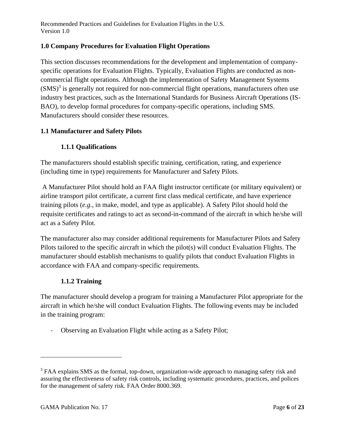#### <span id="page-5-0"></span>**1.0 Company Procedures for Evaluation Flight Operations**

This section discusses recommendations for the development and implementation of companyspecific operations for Evaluation Flights. Typically, Evaluation Flights are conducted as noncommercial flight operations. Although the implementation of Safety Management Systems  $(SMS)^3$  is generally not required for non-commercial flight operations, manufacturers often use industry best practices, such as the International Standards for Business Aircraft Operations (IS-BAO), to develop formal procedures for company-specific operations, including SMS. Manufacturers should consider these resources.

#### <span id="page-5-2"></span><span id="page-5-1"></span>**1.1 Manufacturer and Safety Pilots**

#### **1.1.1 Qualifications**

The manufacturers should establish specific training, certification, rating, and experience (including time in type) requirements for Manufacturer and Safety Pilots.

A Manufacturer Pilot should hold an FAA flight instructor certificate (or military equivalent) or airline transport pilot certificate, a current first class medical certificate, and have experience training pilots (*e.g.*, in make, model, and type as applicable). A Safety Pilot should hold the requisite certificates and ratings to act as second-in-command of the aircraft in which he/she will act as a Safety Pilot.

The manufacturer also may consider additional requirements for Manufacturer Pilots and Safety Pilots tailored to the specific aircraft in which the pilot(s) will conduct Evaluation Flights. The manufacturer should establish mechanisms to qualify pilots that conduct Evaluation Flights in accordance with FAA and company-specific requirements.

#### **1.1.2 Training**

<span id="page-5-3"></span>The manufacturer should develop a program for training a Manufacturer Pilot appropriate for the aircraft in which he/she will conduct Evaluation Flights. The following events may be included in the training program:

- Observing an Evaluation Flight while acting as a Safety Pilot;

 $\overline{\phantom{a}}$ 

<sup>&</sup>lt;sup>3</sup> FAA explains SMS as the formal, top-down, organization-wide approach to managing safety risk and assuring the effectiveness of safety risk controls, including systematic procedures, practices, and polices for the management of safety risk. FAA Order 8000.369.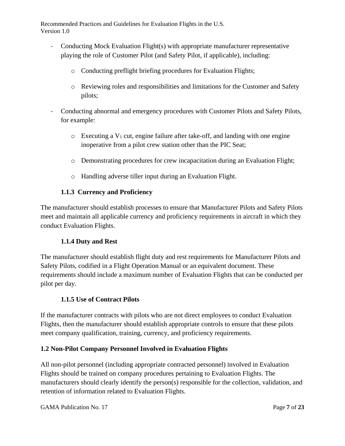- Conducting Mock Evaluation Flight(s) with appropriate manufacturer representative playing the role of Customer Pilot (and Safety Pilot, if applicable), including:
	- o Conducting preflight briefing procedures for Evaluation Flights;
	- o Reviewing roles and responsibilities and limitations for the Customer and Safety pilots;
- Conducting abnormal and emergency procedures with Customer Pilots and Safety Pilots, for example:
	- $\circ$  Executing a V<sub>1</sub> cut, engine failure after take-off, and landing with one engine inoperative from a pilot crew station other than the PIC Seat;
	- o Demonstrating procedures for crew incapacitation during an Evaluation Flight;
	- o Handling adverse tiller input during an Evaluation Flight.

#### **1.1.3 Currency and Proficiency**

<span id="page-6-0"></span>The manufacturer should establish processes to ensure that Manufacturer Pilots and Safety Pilots meet and maintain all applicable currency and proficiency requirements in aircraft in which they conduct Evaluation Flights.

#### **1.1.4 Duty and Rest**

<span id="page-6-1"></span>The manufacturer should establish flight duty and rest requirements for Manufacturer Pilots and Safety Pilots, codified in a Flight Operation Manual or an equivalent document. These requirements should include a maximum number of Evaluation Flights that can be conducted per pilot per day.

#### **1.1.5 Use of Contract Pilots**

<span id="page-6-2"></span>If the manufacturer contracts with pilots who are not direct employees to conduct Evaluation Flights, then the manufacturer should establish appropriate controls to ensure that these pilots meet company qualification, training, currency, and proficiency requirements.

#### <span id="page-6-3"></span>**1.2 Non-Pilot Company Personnel Involved in Evaluation Flights**

All non-pilot personnel (including appropriate contracted personnel) involved in Evaluation Flights should be trained on company procedures pertaining to Evaluation Flights. The manufacturers should clearly identify the person(s) responsible for the collection, validation, and retention of information related to Evaluation Flights.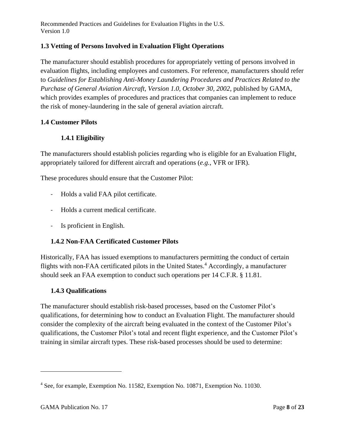#### <span id="page-7-0"></span>**1.3 Vetting of Persons Involved in Evaluation Flight Operations**

The manufacturer should establish procedures for appropriately vetting of persons involved in evaluation flights, including employees and customers. For reference, manufacturers should refer to *Guidelines for Establishing Anti-Money Laundering Procedures and Practices Related to the Purchase of General Aviation Aircraft, Version 1.0, October 30, 2002*, published by GAMA, which provides examples of procedures and practices that companies can implement to reduce the risk of money-laundering in the sale of general aviation aircraft.

#### <span id="page-7-2"></span><span id="page-7-1"></span>**1.4 Customer Pilots**

#### **1.4.1 Eligibility**

The manufacturers should establish policies regarding who is eligible for an Evaluation Flight, appropriately tailored for different aircraft and operations (*e.g.*, VFR or IFR).

These procedures should ensure that the Customer Pilot:

- Holds a valid FAA pilot certificate.
- Holds a current medical certificate.
- Is proficient in English.

#### <span id="page-7-3"></span>**1.4.2 Non-FAA Certificated Customer Pilots**

Historically, FAA has issued exemptions to manufacturers permitting the conduct of certain flights with non-FAA certificated pilots in the United States.<sup>4</sup> Accordingly, a manufacturer should seek an FAA exemption to conduct such operations per 14 C.F.R. § 11.81.

#### <span id="page-7-4"></span>**1.4.3 Qualifications**

The manufacturer should establish risk-based processes, based on the Customer Pilot's qualifications, for determining how to conduct an Evaluation Flight. The manufacturer should consider the complexity of the aircraft being evaluated in the context of the Customer Pilot's qualifications, the Customer Pilot's total and recent flight experience, and the Customer Pilot's training in similar aircraft types. These risk-based processes should be used to determine:

 $\overline{\phantom{a}}$ 

<sup>4</sup> See, for example, Exemption No. 11582, Exemption No. 10871, Exemption No. 11030.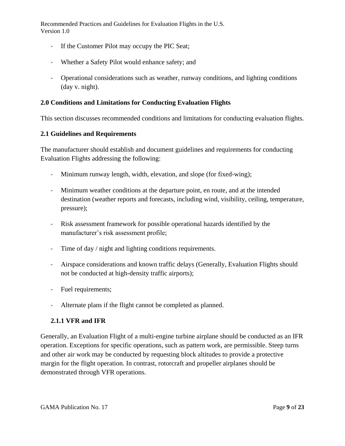- If the Customer Pilot may occupy the PIC Seat;
- Whether a Safety Pilot would enhance safety; and
- Operational considerations such as weather, runway conditions, and lighting conditions (day v. night).

#### <span id="page-8-0"></span>**2.0 Conditions and Limitations for Conducting Evaluation Flights**

This section discusses recommended conditions and limitations for conducting evaluation flights.

#### <span id="page-8-1"></span>**2.1 Guidelines and Requirements**

The manufacturer should establish and document guidelines and requirements for conducting Evaluation Flights addressing the following:

- Minimum runway length, width, elevation, and slope (for fixed-wing);
- Minimum weather conditions at the departure point, en route, and at the intended destination (weather reports and forecasts, including wind, visibility, ceiling, temperature, pressure);
- Risk assessment framework for possible operational hazards identified by the manufacturer's risk assessment profile;
- Time of day / night and lighting conditions requirements.
- Airspace considerations and known traffic delays (Generally, Evaluation Flights should not be conducted at high-density traffic airports);
- Fuel requirements;
- Alternate plans if the flight cannot be completed as planned.

#### <span id="page-8-2"></span>**2.1.1 VFR and IFR**

Generally, an Evaluation Flight of a multi-engine turbine airplane should be conducted as an IFR operation. Exceptions for specific operations, such as pattern work, are permissible. Steep turns and other air work may be conducted by requesting block altitudes to provide a protective margin for the flight operation. In contrast, rotorcraft and propeller airplanes should be demonstrated through VFR operations.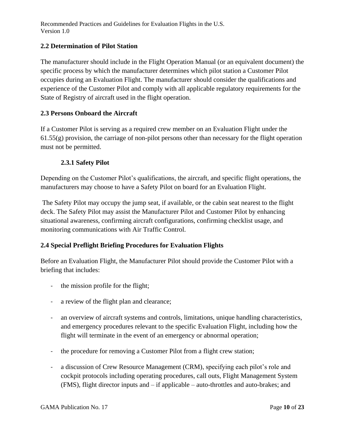#### <span id="page-9-0"></span>**2.2 Determination of Pilot Station**

The manufacturer should include in the Flight Operation Manual (or an equivalent document) the specific process by which the manufacturer determines which pilot station a Customer Pilot occupies during an Evaluation Flight. The manufacturer should consider the qualifications and experience of the Customer Pilot and comply with all applicable regulatory requirements for the State of Registry of aircraft used in the flight operation.

#### <span id="page-9-1"></span>**2.3 Persons Onboard the Aircraft**

If a Customer Pilot is serving as a required crew member on an Evaluation Flight under the 61.55(g) provision, the carriage of non-pilot persons other than necessary for the flight operation must not be permitted.

#### **2.3.1 Safety Pilot**

<span id="page-9-2"></span>Depending on the Customer Pilot's qualifications, the aircraft, and specific flight operations, the manufacturers may choose to have a Safety Pilot on board for an Evaluation Flight.

The Safety Pilot may occupy the jump seat, if available, or the cabin seat nearest to the flight deck. The Safety Pilot may assist the Manufacturer Pilot and Customer Pilot by enhancing situational awareness, confirming aircraft configurations, confirming checklist usage, and monitoring communications with Air Traffic Control.

#### <span id="page-9-3"></span>**2.4 Special Preflight Briefing Procedures for Evaluation Flights**

Before an Evaluation Flight, the Manufacturer Pilot should provide the Customer Pilot with a briefing that includes:

- the mission profile for the flight;
- a review of the flight plan and clearance;
- an overview of aircraft systems and controls, limitations, unique handling characteristics, and emergency procedures relevant to the specific Evaluation Flight, including how the flight will terminate in the event of an emergency or abnormal operation;
- the procedure for removing a Customer Pilot from a flight crew station;
- a discussion of Crew Resource Management (CRM), specifying each pilot's role and cockpit protocols including operating procedures, call outs, Flight Management System (FMS), flight director inputs and – if applicable – auto-throttles and auto-brakes; and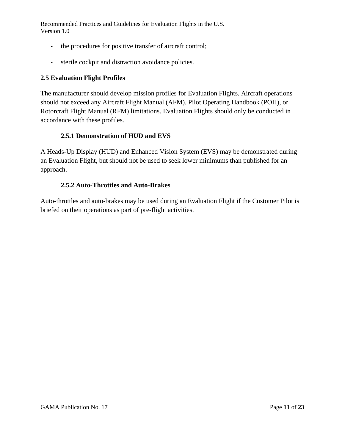- the procedures for positive transfer of aircraft control;
- sterile cockpit and distraction avoidance policies.

#### <span id="page-10-0"></span>**2.5 Evaluation Flight Profiles**

The manufacturer should develop mission profiles for Evaluation Flights. Aircraft operations should not exceed any Aircraft Flight Manual (AFM), Pilot Operating Handbook (POH), or Rotorcraft Flight Manual (RFM) limitations. Evaluation Flights should only be conducted in accordance with these profiles.

#### **2.5.1 Demonstration of HUD and EVS**

<span id="page-10-1"></span>A Heads-Up Display (HUD) and Enhanced Vision System (EVS) may be demonstrated during an Evaluation Flight, but should not be used to seek lower minimums than published for an approach.

#### **2.5.2 Auto-Throttles and Auto-Brakes**

<span id="page-10-2"></span>Auto-throttles and auto-brakes may be used during an Evaluation Flight if the Customer Pilot is briefed on their operations as part of pre-flight activities.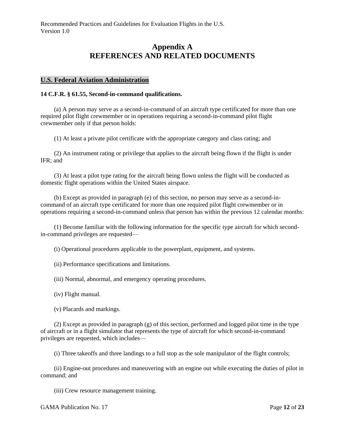### **Appendix A REFERENCES AND RELATED DOCUMENTS**

#### <span id="page-11-0"></span>**U.S. Federal Aviation Administration**

#### **14 C.F.R. § 61.55, Second-in-command qualifications.**

(a) A person may serve as a second-in-command of an aircraft type certificated for more than one required pilot flight crewmember or in operations requiring a second-in-command pilot flight crewmember only if that person holds:

(1) At least a private pilot certificate with the appropriate category and class rating; and

(2) An instrument rating or privilege that applies to the aircraft being flown if the flight is under IFR; and

(3) At least a pilot type rating for the aircraft being flown unless the flight will be conducted as domestic flight operations within the United States airspace.

(b) Except as provided in paragraph (e) of this section, no person may serve as a second-incommand of an aircraft type certificated for more than one required pilot flight crewmember or in operations requiring a second-in-command unless that person has within the previous 12 calendar months:

(1) Become familiar with the following information for the specific type aircraft for which secondin-command privileges are requested—

(i) Operational procedures applicable to the powerplant, equipment, and systems.

(ii) Performance specifications and limitations.

(iii) Normal, abnormal, and emergency operating procedures.

(iv) Flight manual.

(v) Placards and markings.

(2) Except as provided in paragraph (g) of this section, performed and logged pilot time in the type of aircraft or in a flight simulator that represents the type of aircraft for which second-in-command privileges are requested, which includes—

(i) Three takeoffs and three landings to a full stop as the sole manipulator of the flight controls;

(ii) Engine-out procedures and maneuvering with an engine out while executing the duties of pilot in command; and

(iii) Crew resource management training.

GAMA Publication No. 17 **Page 12** of 23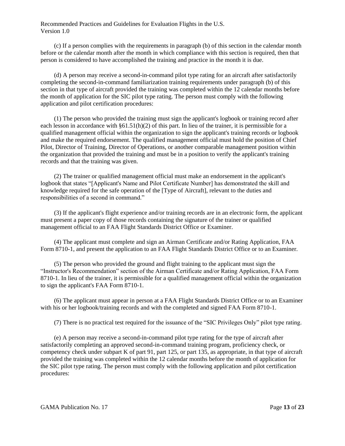(c) If a person complies with the requirements in paragraph (b) of this section in the calendar month before or the calendar month after the month in which compliance with this section is required, then that person is considered to have accomplished the training and practice in the month it is due.

(d) A person may receive a second-in-command pilot type rating for an aircraft after satisfactorily completing the second-in-command familiarization training requirements under paragraph (b) of this section in that type of aircraft provided the training was completed within the 12 calendar months before the month of application for the SIC pilot type rating. The person must comply with the following application and pilot certification procedures:

(1) The person who provided the training must sign the applicant's logbook or training record after each lesson in accordance with §61.51(h)(2) of this part. In lieu of the trainer, it is permissible for a qualified management official within the organization to sign the applicant's training records or logbook and make the required endorsement. The qualified management official must hold the position of Chief Pilot, Director of Training, Director of Operations, or another comparable management position within the organization that provided the training and must be in a position to verify the applicant's training records and that the training was given.

(2) The trainer or qualified management official must make an endorsement in the applicant's logbook that states "[Applicant's Name and Pilot Certificate Number] has demonstrated the skill and knowledge required for the safe operation of the [Type of Aircraft], relevant to the duties and responsibilities of a second in command."

(3) If the applicant's flight experience and/or training records are in an electronic form, the applicant must present a paper copy of those records containing the signature of the trainer or qualified management official to an FAA Flight Standards District Office or Examiner.

(4) The applicant must complete and sign an Airman Certificate and/or Rating Application, FAA Form 8710-1, and present the application to an FAA Flight Standards District Office or to an Examiner.

(5) The person who provided the ground and flight training to the applicant must sign the "Instructor's Recommendation" section of the Airman Certificate and/or Rating Application, FAA Form 8710-1. In lieu of the trainer, it is permissible for a qualified management official within the organization to sign the applicant's FAA Form 8710-1.

(6) The applicant must appear in person at a FAA Flight Standards District Office or to an Examiner with his or her logbook/training records and with the completed and signed FAA Form 8710-1.

(7) There is no practical test required for the issuance of the "SIC Privileges Only" pilot type rating.

(e) A person may receive a second-in-command pilot type rating for the type of aircraft after satisfactorily completing an approved second-in-command training program, proficiency check, or competency check under subpart K of part 91, part 125, or part 135, as appropriate, in that type of aircraft provided the training was completed within the 12 calendar months before the month of application for the SIC pilot type rating. The person must comply with the following application and pilot certification procedures: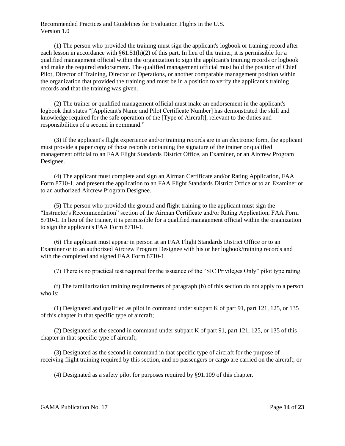(1) The person who provided the training must sign the applicant's logbook or training record after each lesson in accordance with §61.51(h)(2) of this part. In lieu of the trainer, it is permissible for a qualified management official within the organization to sign the applicant's training records or logbook and make the required endorsement. The qualified management official must hold the position of Chief Pilot, Director of Training, Director of Operations, or another comparable management position within the organization that provided the training and must be in a position to verify the applicant's training records and that the training was given.

(2) The trainer or qualified management official must make an endorsement in the applicant's logbook that states "[Applicant's Name and Pilot Certificate Number] has demonstrated the skill and knowledge required for the safe operation of the [Type of Aircraft], relevant to the duties and responsibilities of a second in command."

(3) If the applicant's flight experience and/or training records are in an electronic form, the applicant must provide a paper copy of those records containing the signature of the trainer or qualified management official to an FAA Flight Standards District Office, an Examiner, or an Aircrew Program Designee.

(4) The applicant must complete and sign an Airman Certificate and/or Rating Application, FAA Form 8710-1, and present the application to an FAA Flight Standards District Office or to an Examiner or to an authorized Aircrew Program Designee.

(5) The person who provided the ground and flight training to the applicant must sign the "Instructor's Recommendation" section of the Airman Certificate and/or Rating Application, FAA Form 8710-1. In lieu of the trainer, it is permissible for a qualified management official within the organization to sign the applicant's FAA Form 8710-1.

(6) The applicant must appear in person at an FAA Flight Standards District Office or to an Examiner or to an authorized Aircrew Program Designee with his or her logbook/training records and with the completed and signed FAA Form 8710-1.

(7) There is no practical test required for the issuance of the "SIC Privileges Only" pilot type rating.

(f) The familiarization training requirements of paragraph (b) of this section do not apply to a person who is:

(1) Designated and qualified as pilot in command under subpart K of part 91, part 121, 125, or 135 of this chapter in that specific type of aircraft;

(2) Designated as the second in command under subpart K of part 91, part 121, 125, or 135 of this chapter in that specific type of aircraft;

(3) Designated as the second in command in that specific type of aircraft for the purpose of receiving flight training required by this section, and no passengers or cargo are carried on the aircraft; or

(4) Designated as a safety pilot for purposes required by §91.109 of this chapter.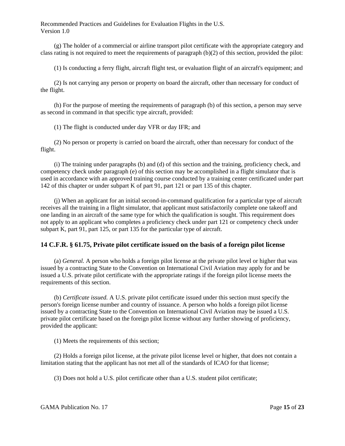(g) The holder of a commercial or airline transport pilot certificate with the appropriate category and class rating is not required to meet the requirements of paragraph (b)(2) of this section, provided the pilot:

(1) Is conducting a ferry flight, aircraft flight test, or evaluation flight of an aircraft's equipment; and

(2) Is not carrying any person or property on board the aircraft, other than necessary for conduct of the flight.

(h) For the purpose of meeting the requirements of paragraph (b) of this section, a person may serve as second in command in that specific type aircraft, provided:

(1) The flight is conducted under day VFR or day IFR; and

(2) No person or property is carried on board the aircraft, other than necessary for conduct of the flight.

(i) The training under paragraphs (b) and (d) of this section and the training, proficiency check, and competency check under paragraph (e) of this section may be accomplished in a flight simulator that is used in accordance with an approved training course conducted by a training center certificated under part 142 of this chapter or under subpart K of part 91, part 121 or part 135 of this chapter.

(j) When an applicant for an initial second-in-command qualification for a particular type of aircraft receives all the training in a flight simulator, that applicant must satisfactorily complete one takeoff and one landing in an aircraft of the same type for which the qualification is sought. This requirement does not apply to an applicant who completes a proficiency check under part 121 or competency check under subpart K, part 91, part 125, or part 135 for the particular type of aircraft.

#### **14 C.F.R. § 61.75, Private pilot certificate issued on the basis of a foreign pilot license**

(a) *General.* A person who holds a foreign pilot license at the private pilot level or higher that was issued by a contracting State to the Convention on International Civil Aviation may apply for and be issued a U.S. private pilot certificate with the appropriate ratings if the foreign pilot license meets the requirements of this section.

(b) *Certificate issued.* A U.S. private pilot certificate issued under this section must specify the person's foreign license number and country of issuance. A person who holds a foreign pilot license issued by a contracting State to the Convention on International Civil Aviation may be issued a U.S. private pilot certificate based on the foreign pilot license without any further showing of proficiency, provided the applicant:

(1) Meets the requirements of this section;

(2) Holds a foreign pilot license, at the private pilot license level or higher, that does not contain a limitation stating that the applicant has not met all of the standards of ICAO for that license;

(3) Does not hold a U.S. pilot certificate other than a U.S. student pilot certificate;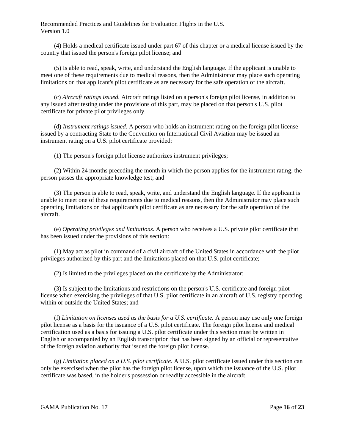(4) Holds a medical certificate issued under part 67 of this chapter or a medical license issued by the country that issued the person's foreign pilot license; and

(5) Is able to read, speak, write, and understand the English language. If the applicant is unable to meet one of these requirements due to medical reasons, then the Administrator may place such operating limitations on that applicant's pilot certificate as are necessary for the safe operation of the aircraft.

(c) *Aircraft ratings issued.* Aircraft ratings listed on a person's foreign pilot license, in addition to any issued after testing under the provisions of this part, may be placed on that person's U.S. pilot certificate for private pilot privileges only.

(d) *Instrument ratings issued.* A person who holds an instrument rating on the foreign pilot license issued by a contracting State to the Convention on International Civil Aviation may be issued an instrument rating on a U.S. pilot certificate provided:

(1) The person's foreign pilot license authorizes instrument privileges;

(2) Within 24 months preceding the month in which the person applies for the instrument rating, the person passes the appropriate knowledge test; and

(3) The person is able to read, speak, write, and understand the English language. If the applicant is unable to meet one of these requirements due to medical reasons, then the Administrator may place such operating limitations on that applicant's pilot certificate as are necessary for the safe operation of the aircraft.

(e) *Operating privileges and limitations.* A person who receives a U.S. private pilot certificate that has been issued under the provisions of this section:

(1) May act as pilot in command of a civil aircraft of the United States in accordance with the pilot privileges authorized by this part and the limitations placed on that U.S. pilot certificate;

(2) Is limited to the privileges placed on the certificate by the Administrator;

(3) Is subject to the limitations and restrictions on the person's U.S. certificate and foreign pilot license when exercising the privileges of that U.S. pilot certificate in an aircraft of U.S. registry operating within or outside the United States; and

(f) *Limitation on licenses used as the basis for a U.S. certificate.* A person may use only one foreign pilot license as a basis for the issuance of a U.S. pilot certificate. The foreign pilot license and medical certification used as a basis for issuing a U.S. pilot certificate under this section must be written in English or accompanied by an English transcription that has been signed by an official or representative of the foreign aviation authority that issued the foreign pilot license.

(g) *Limitation placed on a U.S. pilot certificate.* A U.S. pilot certificate issued under this section can only be exercised when the pilot has the foreign pilot license, upon which the issuance of the U.S. pilot certificate was based, in the holder's possession or readily accessible in the aircraft.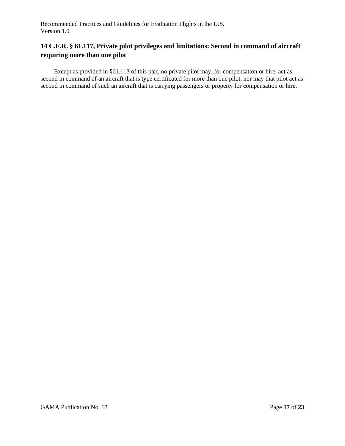#### **14 C.F.R. § 61.117, Private pilot privileges and limitations: Second in command of aircraft requiring more than one pilot**

Except as provided in §61.113 of this part, no private pilot may, for compensation or hire, act as second in command of an aircraft that is type certificated for more than one pilot, nor may that pilot act as second in command of such an aircraft that is carrying passengers or property for compensation or hire.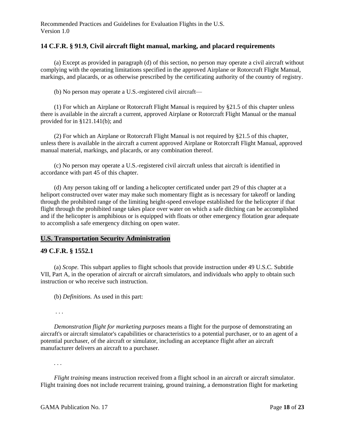#### **14 C.F.R. § 91.9, Civil aircraft flight manual, marking, and placard requirements**

(a) Except as provided in paragraph (d) of this section, no person may operate a civil aircraft without complying with the operating limitations specified in the approved Airplane or Rotorcraft Flight Manual, markings, and placards, or as otherwise prescribed by the certificating authority of the country of registry.

(b) No person may operate a U.S.-registered civil aircraft—

(1) For which an Airplane or Rotorcraft Flight Manual is required by §21.5 of this chapter unless there is available in the aircraft a current, approved Airplane or Rotorcraft Flight Manual or the manual provided for in §121.141(b); and

(2) For which an Airplane or Rotorcraft Flight Manual is not required by §21.5 of this chapter, unless there is available in the aircraft a current approved Airplane or Rotorcraft Flight Manual, approved manual material, markings, and placards, or any combination thereof.

(c) No person may operate a U.S.-registered civil aircraft unless that aircraft is identified in accordance with part 45 of this chapter.

(d) Any person taking off or landing a helicopter certificated under part 29 of this chapter at a heliport constructed over water may make such momentary flight as is necessary for takeoff or landing through the prohibited range of the limiting height-speed envelope established for the helicopter if that flight through the prohibited range takes place over water on which a safe ditching can be accomplished and if the helicopter is amphibious or is equipped with floats or other emergency flotation gear adequate to accomplish a safe emergency ditching on open water.

#### **U.S. Transportation Security Administration**

#### **49 C.F.R. § 1552.1**

(a) *Scope.* This subpart applies to flight schools that provide instruction under 49 U.S.C. Subtitle VII, Part A, in the operation of aircraft or aircraft simulators, and individuals who apply to obtain such instruction or who receive such instruction.

(b) *Definitions.* As used in this part:

*. . .*

*Demonstration flight for marketing purposes* means a flight for the purpose of demonstrating an aircraft's or aircraft simulator's capabilities or characteristics to a potential purchaser, or to an agent of a potential purchaser, of the aircraft or simulator, including an acceptance flight after an aircraft manufacturer delivers an aircraft to a purchaser.

*. . .* 

*Flight training* means instruction received from a flight school in an aircraft or aircraft simulator. Flight training does not include recurrent training, ground training, a demonstration flight for marketing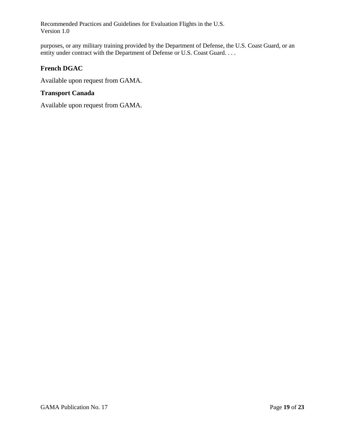purposes, or any military training provided by the Department of Defense, the U.S. Coast Guard, or an entity under contract with the Department of Defense or U.S. Coast Guard. . . .

#### **French DGAC**

Available upon request from GAMA.

#### **Transport Canada**

Available upon request from GAMA.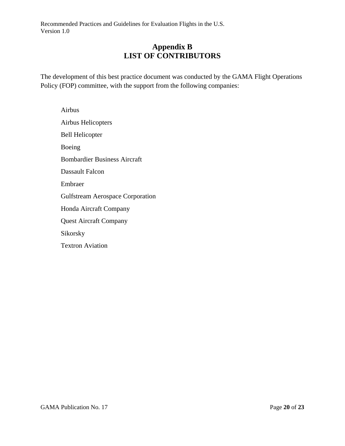## **Appendix B LIST OF CONTRIBUTORS**

<span id="page-19-0"></span>The development of this best practice document was conducted by the GAMA Flight Operations Policy (FOP) committee, with the support from the following companies:

Airbus Airbus Helicopters Bell Helicopter Boeing Bombardier Business Aircraft Dassault Falcon Embraer Gulfstream Aerospace Corporation Honda Aircraft Company Quest Aircraft Company Sikorsky Textron Aviation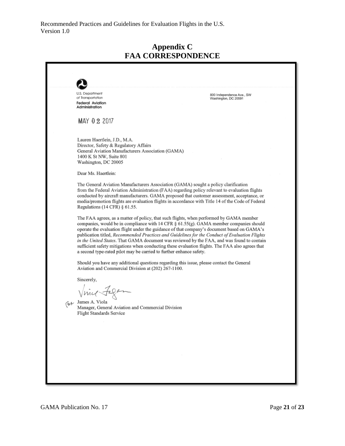## **Appendix C FAA CORRESPONDENCE**

<span id="page-20-0"></span>U.S. Department 800 Independence Ave., SW<br>Washington, DC 20591 of Transportation **Federal Aviation** Administration MAY 02 2017 Lauren Haertlein, J.D., M.A. Director, Safety & Regulatory Affairs General Aviation Manufacturers Association (GAMA) 1400 K St NW, Suite 801 Washington, DC 20005 Dear Ms. Haertlein: The General Aviation Manufacturers Association (GAMA) sought a policy clarification from the Federal Aviation Administration (FAA) regarding policy relevant to evaluation flights conducted by aircraft manufacturers. GAMA proposed that customer assessment, acceptance, or media/promotion flights are evaluation flights in accordance with Title 14 of the Code of Federal Regulations (14 CFR)  $§ 61.55.$ The FAA agrees, as a matter of policy, that such flights, when performed by GAMA member companies, would be in compliance with 14 CFR § 61.55(g). GAMA member companies should operate the evaluation flight under the guidance of that company's document based on GAMA's publication titled, Recommended Practices and Guidelines for the Conduct of Evaluation Flights in the United States. That GAMA document was reviewed by the FAA, and was found to contain sufficient safety mitigations when conducting these evaluation flights. The FAA also agrees that a second type-rated pilot may be carried to further enhance safety. Should you have any additional questions regarding this issue, please contact the General Aviation and Commercial Division at (202) 267-1100. Sincerely, Fela  $\vee$ muli Go Lames A. Viola Manager, General Aviation and Commercial Division Flight Standards Service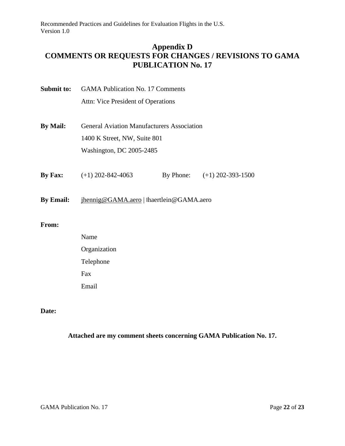### <span id="page-21-1"></span><span id="page-21-0"></span>**Appendix D COMMENTS OR REQUESTS FOR CHANGES / REVISIONS TO GAMA PUBLICATION No. 17**

| Submit to:       | <b>GAMA Publication No. 17 Comments</b>                                                                       |  |                               |  |  |  |
|------------------|---------------------------------------------------------------------------------------------------------------|--|-------------------------------|--|--|--|
|                  | Attn: Vice President of Operations                                                                            |  |                               |  |  |  |
|                  |                                                                                                               |  |                               |  |  |  |
| <b>By Mail:</b>  | <b>General Aviation Manufacturers Association</b><br>1400 K Street, NW, Suite 801<br>Washington, DC 2005-2485 |  |                               |  |  |  |
|                  |                                                                                                               |  |                               |  |  |  |
|                  |                                                                                                               |  |                               |  |  |  |
|                  |                                                                                                               |  |                               |  |  |  |
|                  | <b>By Fax:</b> $(+1)$ 202-842-4063                                                                            |  | By Phone: $(+1)$ 202-393-1500 |  |  |  |
|                  |                                                                                                               |  |                               |  |  |  |
| <b>By Email:</b> | jhennig@GAMA.aero   lhaertlein@GAMA.aero                                                                      |  |                               |  |  |  |
|                  |                                                                                                               |  |                               |  |  |  |
| From:            |                                                                                                               |  |                               |  |  |  |
|                  | Name                                                                                                          |  |                               |  |  |  |
|                  | Organization                                                                                                  |  |                               |  |  |  |
|                  | Telephone                                                                                                     |  |                               |  |  |  |
|                  | Fax                                                                                                           |  |                               |  |  |  |
|                  | Email                                                                                                         |  |                               |  |  |  |
|                  |                                                                                                               |  |                               |  |  |  |

**Date:**

**Attached are my comment sheets concerning GAMA Publication No. 17.**